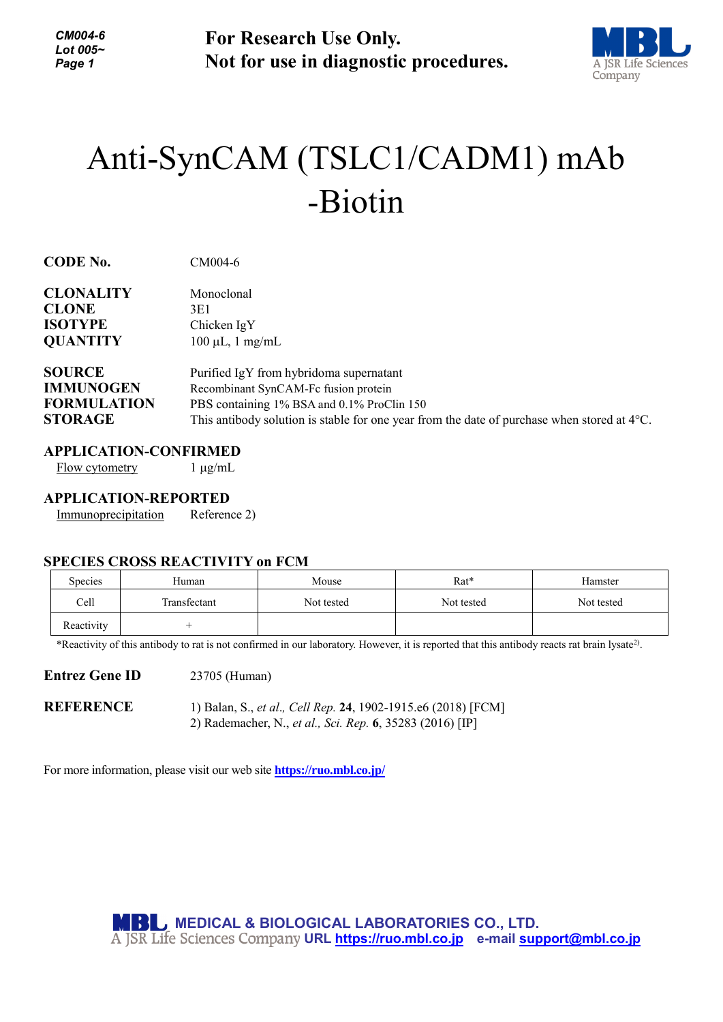*CM004-6 Lot 005~ Page 1*

**For Research Use Only. Not for use in diagnostic procedures.**



# Anti-SynCAM (TSLC1/CADM1) mAb -Biotin

| <b>CODE No.</b> |  |
|-----------------|--|
|-----------------|--|

**CODE No.** CM004-6

| <b>CLONALITY</b>                                 | Monoclonal            |
|--------------------------------------------------|-----------------------|
| <b>CLONE</b>                                     | 3E1                   |
| <b>ISOTYPE</b>                                   | Chicken $IgY$         |
| <b>OUANTITY</b>                                  | $100 \mu L$ , 1 mg/mL |
| $\sim$ $\sim$ $\sim$ $\sim$ $\sim$ $\sim$ $\sim$ |                       |

## **SOURCE** Purified IgY from hybridoma supernatant **IMMUNOGEN** Recombinant SynCAM-Fc fusion protein **FORMULATION** PBS containing 1% BSA and 0.1% ProClin 150 **STORAGE** This antibody solution is stable for one year from the date of purchase when stored at 4°C.

## **APPLICATION-CONFIRMED**

 $Flow$  cytometry  $1 \mu g/mL$ 

#### **APPLICATION-REPORTED**

Immunoprecipitation Reference 2)

#### **SPECIES CROSS REACTIVITY on FCM**

| Species    | Human        | Mouse      | Rat*       | Hamster    |
|------------|--------------|------------|------------|------------|
| Cell       | Transfectant | Not tested | Not tested | Not tested |
| Reactivity |              |            |            |            |

\*Reactivity of this antibody to rat is not confirmed in our laboratory. However, it is reported that this antibody reacts rat brain lysate2) .

#### **Entrez Gene ID** 23705 (Human)

**REFERENCE** 1) Balan, S., *et al*.*, Cell Rep.* **24**, 1902-1915.e6 (2018) [FCM] 2) Rademacher, N., *et al., Sci. Rep.* **6**, 35283 (2016) [IP]

For more information, please visit our web site **<https://ruo.mbl.co.jp/>**